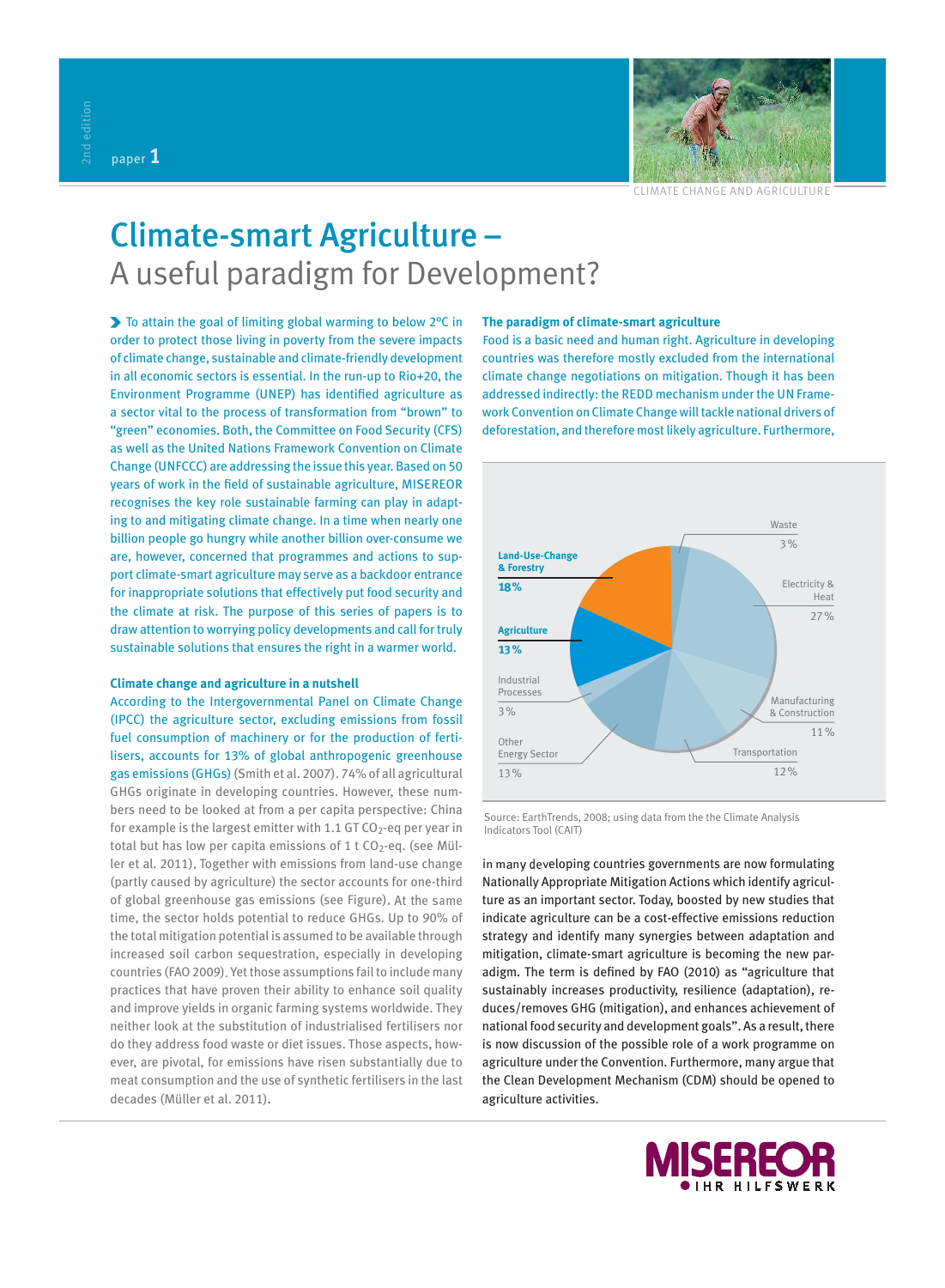

# Climate-smart Agriculture – A useful paradigm for Development?

▶ To attain the goal of limiting global warming to below 2°C in order to protect those living in poverty from the severe impacts of climate change, sustainable and climate-friendly development in all economic sectors is essential. In the run-up to Rio+20, the Environment Programme (UNEP) has identified agriculture as a sector vital to the process of transformation from "brown" to "green" economies. Both, the Committee on Food Security (CFS) as well as the United Nations Framework Convention on Climate Change (UNFCCC) are addressing the issue this year. Based on 50 years of work in the field of sustainable agriculture, MISEREOR recognises the key role sustainable farming can play in adapting to and mitigating climate change. In a time when nearly one billion people go hungry while another billion over-consume we are, however, concerned that programmes and actions to support climate-smart agriculture may serve as a backdoor entrance for inappropriate solutions that effectively put food security and the climate at risk. The purpose of this series of papers is to draw attention to worrying policy developments and call for truly sustainable solutions that ensures the right in a warmer world.

## **Climate change and agriculture in a nutshell**

According to the Intergovernmental Panel on Climate Change (IPCC) the agriculture sector, excluding emissions from fossil fuel consumption of machinery or for the production of fertilisers, accounts for 13% of global anthropogenic greenhouse gas emissions (GHGs) (Smith et al. 2007). 74% of all agricultural GHGs originate in developing countries. However, these numbers need to be looked at from a per capita perspective: China for example is the largest emitter with 1.1 GT  $CO<sub>2</sub>$ -eq per year in total but has low per capita emissions of 1 t  $CO<sub>2</sub>$ -eq. (see Müller et al. 2011). Together with emissions from land-use change (partly caused by agriculture) the sector accounts for one-third of global greenhouse gas emissions (see Figure). At the same time, the sector holds potential to reduce GHGs. Up to 90% of the total mitigation potential is assumed to be available through increased soil carbon sequestration, especially in developing countries (FAO 2009) Yet those assumptions fail to include many practices that have proven their ability to enhance soil quality and improve yields in organic farming systems worldwide. They neither look at the substitution of industrialised fertilisers nor do they address food waste or diet issues. Those aspects, however, are pivotal, for emissions have risen substantially due to meat consumption and the use of synthetic fertilisers in the last decades (Müller et al. 2011)

## **The paradigm of climate-smart agriculture**

<sup>F</sup>ood is a basic need and human right. Agriculture in developing countries was therefore mostly excluded from the international climate change negotiations on mitigation. Though it has been addressed indirectly: the REDD mechanism under the UN Framework Convention on Climate Change will tackle national drivers of deforestation, and therefore most likely agriculture. Furthermore,



Source: EarthTrends, 2008; using data from the the Climate Analysis Indicators Tool (CAIT)

in many developing countries governments are now formulating Nationally Appropriate Mitigation Actions which identify agriculture as an important sector. Today, boosted by new studies that indicate agriculture can be a cost-effective emissions reduction strategy and identify many synergies between adaptation and mitigation, climate-smart agriculture is becoming the new paradigm. The term is defined by FAO (2010) as "agriculture that sustainably increases productivity, resilience (adaptation), reduces/removes GHG (mitigation), and enhances achievement of national food security and development goals". As a result, there is now discussion of the possible role of a work programme on agriculture under the Convention. Furthermore, many argue that the Clean Development Mechanism (CDM) should be opened to agriculture activities.